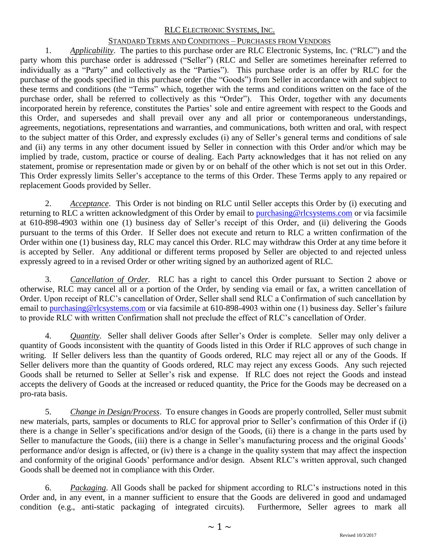# STANDARD TERMS AND CONDITIONS – PURCHASES FROM VENDORS

1. *Applicability*. The parties to this purchase order are RLC Electronic Systems, Inc. ("RLC") and the party whom this purchase order is addressed ("Seller") (RLC and Seller are sometimes hereinafter referred to individually as a "Party" and collectively as the "Parties"). This purchase order is an offer by RLC for the purchase of the goods specified in this purchase order (the "Goods") from Seller in accordance with and subject to these terms and conditions (the "Terms" which, together with the terms and conditions written on the face of the purchase order, shall be referred to collectively as this "Order"). This Order, together with any documents incorporated herein by reference, constitutes the Parties' sole and entire agreement with respect to the Goods and this Order, and supersedes and shall prevail over any and all prior or contemporaneous understandings, agreements, negotiations, representations and warranties, and communications, both written and oral, with respect to the subject matter of this Order, and expressly excludes (i) any of Seller's general terms and conditions of sale and (ii) any terms in any other document issued by Seller in connection with this Order and/or which may be implied by trade, custom, practice or course of dealing. Each Party acknowledges that it has not relied on any statement, promise or representation made or given by or on behalf of the other which is not set out in this Order. This Order expressly limits Seller's acceptance to the terms of this Order. These Terms apply to any repaired or replacement Goods provided by Seller.

2. *Acceptance*. This Order is not binding on RLC until Seller accepts this Order by (i) executing and returning to RLC a written acknowledgment of this Order by email to [purchasing@rlcsystems.com](mailto:purchasing@rlcsystems.com) or via facsimile at 610-898-4903 within one (1) business day of Seller's receipt of this Order, and (ii) delivering the Goods pursuant to the terms of this Order. If Seller does not execute and return to RLC a written confirmation of the Order within one (1) business day, RLC may cancel this Order. RLC may withdraw this Order at any time before it is accepted by Seller. Any additional or different terms proposed by Seller are objected to and rejected unless expressly agreed to in a revised Order or other writing signed by an authorized agent of RLC.

3. *Cancellation of Order.* RLC has a right to cancel this Order pursuant to Section 2 above or otherwise, RLC may cancel all or a portion of the Order, by sending via email or fax, a written cancellation of Order. Upon receipt of RLC's cancellation of Order, Seller shall send RLC a Confirmation of such cancellation by email to [purchasing@rlcsystems.com](mailto:purchasing@rlcsystems.com) or via facsimile at 610-898-4903 within one (1) business day. Seller's failure to provide RLC with written Confirmation shall not preclude the effect of RLC's cancellation of Order.

4. *Quantity*. Seller shall deliver Goods after Seller's Order is complete. Seller may only deliver a quantity of Goods inconsistent with the quantity of Goods listed in this Order if RLC approves of such change in writing. If Seller delivers less than the quantity of Goods ordered, RLC may reject all or any of the Goods. If Seller delivers more than the quantity of Goods ordered, RLC may reject any excess Goods. Any such rejected Goods shall be returned to Seller at Seller's risk and expense. If RLC does not reject the Goods and instead accepts the delivery of Goods at the increased or reduced quantity, the Price for the Goods may be decreased on a pro-rata basis.

5. *Change in Design/Process*. To ensure changes in Goods are properly controlled, Seller must submit new materials, parts, samples or documents to RLC for approval prior to Seller's confirmation of this Order if (i) there is a change in Seller's specifications and/or design of the Goods, (ii) there is a change in the parts used by Seller to manufacture the Goods, (iii) there is a change in Seller's manufacturing process and the original Goods' performance and/or design is affected, or (iv) there is a change in the quality system that may affect the inspection and conformity of the original Goods' performance and/or design. Absent RLC's written approval, such changed Goods shall be deemed not in compliance with this Order.

6. *Packaging*. All Goods shall be packed for shipment according to RLC's instructions noted in this Order and, in any event, in a manner sufficient to ensure that the Goods are delivered in good and undamaged condition (e.g., anti-static packaging of integrated circuits). Furthermore, Seller agrees to mark all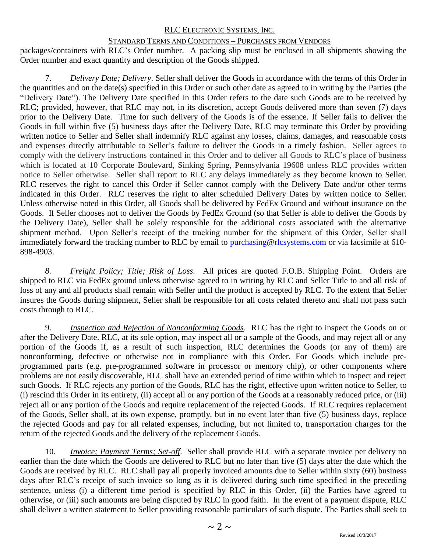# STANDARD TERMS AND CONDITIONS – PURCHASES FROM VENDORS

packages/containers with RLC's Order number. A packing slip must be enclosed in all shipments showing the Order number and exact quantity and description of the Goods shipped.

7. *Delivery Date; Delivery*. Seller shall deliver the Goods in accordance with the terms of this Order in the quantities and on the date(s) specified in this Order or such other date as agreed to in writing by the Parties (the "Delivery Date"). The Delivery Date specified in this Order refers to the date such Goods are to be received by RLC; provided, however, that RLC may not, in its discretion, accept Goods delivered more than seven (7) days prior to the Delivery Date. Time for such delivery of the Goods is of the essence. If Seller fails to deliver the Goods in full within five (5) business days after the Delivery Date, RLC may terminate this Order by providing written notice to Seller and Seller shall indemnify RLC against any losses, claims, damages, and reasonable costs and expenses directly attributable to Seller's failure to deliver the Goods in a timely fashion. Seller agrees to comply with the delivery instructions contained in this Order and to deliver all Goods to RLC's place of business which is located at 10 Corporate Boulevard, Sinking Spring, Pennsylvania 19608 unless RLC provides written notice to Seller otherwise. Seller shall report to RLC any delays immediately as they become known to Seller. RLC reserves the right to cancel this Order if Seller cannot comply with the Delivery Date and/or other terms indicated in this Order. RLC reserves the right to alter scheduled Delivery Dates by written notice to Seller. Unless otherwise noted in this Order, all Goods shall be delivered by FedEx Ground and without insurance on the Goods. If Seller chooses not to deliver the Goods by FedEx Ground (so that Seller is able to deliver the Goods by the Delivery Date), Seller shall be solely responsible for the additional costs associated with the alternative shipment method. Upon Seller's receipt of the tracking number for the shipment of this Order, Seller shall immediately forward the tracking number to RLC by email to [purchasing@rlcsystems.com](mailto:purchasing@rlcsystems.com) or via facsimile at 610-898-4903.

*8. Freight Policy; Title; Risk of Loss.* All prices are quoted F.O.B. Shipping Point. Orders are shipped to RLC via FedEx ground unless otherwise agreed to in writing by RLC and Seller Title to and all risk of loss of any and all products shall remain with Seller until the product is accepted by RLC. To the extent that Seller insures the Goods during shipment, Seller shall be responsible for all costs related thereto and shall not pass such costs through to RLC.

9. *Inspection and Rejection of Nonconforming Goods*. RLC has the right to inspect the Goods on or after the Delivery Date. RLC, at its sole option, may inspect all or a sample of the Goods, and may reject all or any portion of the Goods if, as a result of such inspection, RLC determines the Goods (or any of them) are nonconforming, defective or otherwise not in compliance with this Order. For Goods which include preprogrammed parts (e.g. pre-programmed software in processor or memory chip), or other components where problems are not easily discoverable, RLC shall have an extended period of time within which to inspect and reject such Goods. If RLC rejects any portion of the Goods, RLC has the right, effective upon written notice to Seller, to (i) rescind this Order in its entirety, (ii) accept all or any portion of the Goods at a reasonably reduced price, or (iii) reject all or any portion of the Goods and require replacement of the rejected Goods. If RLC requires replacement of the Goods, Seller shall, at its own expense, promptly, but in no event later than five (5) business days, replace the rejected Goods and pay for all related expenses, including, but not limited to, transportation charges for the return of the rejected Goods and the delivery of the replacement Goods.

10. *Invoice; Payment Terms; Set-off*. Seller shall provide RLC with a separate invoice per delivery no earlier than the date which the Goods are delivered to RLC but no later than five (5) days after the date which the Goods are received by RLC. RLC shall pay all properly invoiced amounts due to Seller within sixty (60) business days after RLC's receipt of such invoice so long as it is delivered during such time specified in the preceding sentence, unless (i) a different time period is specified by RLC in this Order, (ii) the Parties have agreed to otherwise, or (iii) such amounts are being disputed by RLC in good faith. In the event of a payment dispute, RLC shall deliver a written statement to Seller providing reasonable particulars of such dispute. The Parties shall seek to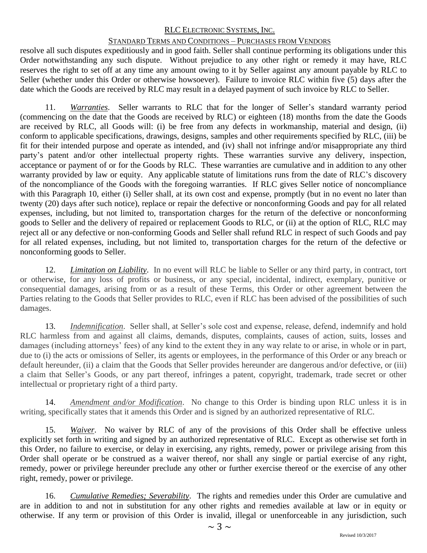# STANDARD TERMS AND CONDITIONS – PURCHASES FROM VENDORS

resolve all such disputes expeditiously and in good faith. Seller shall continue performing its obligations under this Order notwithstanding any such dispute. Without prejudice to any other right or remedy it may have, RLC reserves the right to set off at any time any amount owing to it by Seller against any amount payable by RLC to Seller (whether under this Order or otherwise howsoever). Failure to invoice RLC within five (5) days after the date which the Goods are received by RLC may result in a delayed payment of such invoice by RLC to Seller.

11. *Warranties*. Seller warrants to RLC that for the longer of Seller's standard warranty period (commencing on the date that the Goods are received by RLC) or eighteen (18) months from the date the Goods are received by RLC, all Goods will: (i) be free from any defects in workmanship, material and design, (ii) conform to applicable specifications, drawings, designs, samples and other requirements specified by RLC, (iii) be fit for their intended purpose and operate as intended, and (iv) shall not infringe and/or misappropriate any third party's patent and/or other intellectual property rights. These warranties survive any delivery, inspection, acceptance or payment of or for the Goods by RLC. These warranties are cumulative and in addition to any other warranty provided by law or equity. Any applicable statute of limitations runs from the date of RLC's discovery of the noncompliance of the Goods with the foregoing warranties. If RLC gives Seller notice of noncompliance with this Paragraph 10, either (i) Seller shall, at its own cost and expense, promptly (but in no event no later than twenty (20) days after such notice), replace or repair the defective or nonconforming Goods and pay for all related expenses, including, but not limited to, transportation charges for the return of the defective or nonconforming goods to Seller and the delivery of repaired or replacement Goods to RLC, or (ii) at the option of RLC, RLC may reject all or any defective or non-conforming Goods and Seller shall refund RLC in respect of such Goods and pay for all related expenses, including, but not limited to, transportation charges for the return of the defective or nonconforming goods to Seller.

12. *Limitation on Liability*. In no event will RLC be liable to Seller or any third party, in contract, tort or otherwise, for any loss of profits or business, or any special, incidental, indirect, exemplary, punitive or consequential damages, arising from or as a result of these Terms, this Order or other agreement between the Parties relating to the Goods that Seller provides to RLC, even if RLC has been advised of the possibilities of such damages.

13. *Indemnification*. Seller shall, at Seller's sole cost and expense, release, defend, indemnify and hold RLC harmless from and against all claims, demands, disputes, complaints, causes of action, suits, losses and damages (including attorneys' fees) of any kind to the extent they in any way relate to or arise, in whole or in part, due to (i) the acts or omissions of Seller, its agents or employees, in the performance of this Order or any breach or default hereunder, (ii) a claim that the Goods that Seller provides hereunder are dangerous and/or defective, or (iii) a claim that Seller's Goods, or any part thereof, infringes a patent, copyright, trademark, trade secret or other intellectual or proprietary right of a third party.

14. *Amendment and/or Modification*. No change to this Order is binding upon RLC unless it is in writing, specifically states that it amends this Order and is signed by an authorized representative of RLC.

15. *Waiver*. No waiver by RLC of any of the provisions of this Order shall be effective unless explicitly set forth in writing and signed by an authorized representative of RLC. Except as otherwise set forth in this Order, no failure to exercise, or delay in exercising, any rights, remedy, power or privilege arising from this Order shall operate or be construed as a waiver thereof, nor shall any single or partial exercise of any right, remedy, power or privilege hereunder preclude any other or further exercise thereof or the exercise of any other right, remedy, power or privilege.

16. *Cumulative Remedies; Severability*. The rights and remedies under this Order are cumulative and are in addition to and not in substitution for any other rights and remedies available at law or in equity or otherwise. If any term or provision of this Order is invalid, illegal or unenforceable in any jurisdiction, such